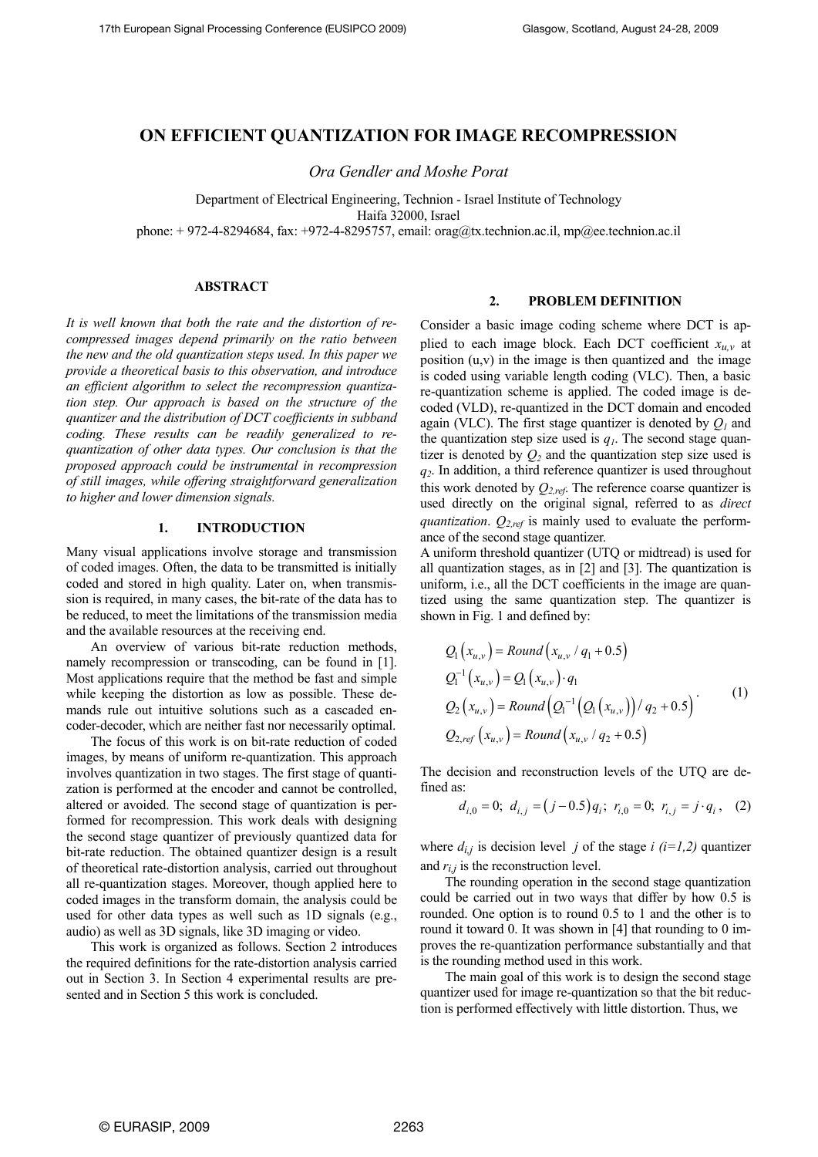# **ON EFFICIENT QUANTIZATION FOR IMAGE RECOMPRESSION**

*Ora Gendler and Moshe Porat* 

Department of Electrical Engineering, [Technion](http://www.technion.ac.il/) - Israel Institute of Technology Haifa 32000, Israel phone: + 972-4-8294684, fax: +972-4-8295757, email: orag@tx.technion.ac.il, mp@ee.technion.ac.il

### **ABSTRACT**

*It is well known that both the rate and the distortion of recompressed images depend primarily on the ratio between the new and the old quantization steps used. In this paper we provide a theoretical basis to this observation, and introduce an efficient algorithm to select the recompression quantization step. Our approach is based on the structure of the quantizer and the distribution of DCT coefficients in subband coding. These results can be readily generalized to requantization of other data types. Our conclusion is that the proposed approach could be instrumental in recompression of still images, while offering straightforward generalization to higher and lower dimension signals.*

#### **1. INTRODUCTION**

Many visual applications involve storage and transmission of coded images. Often, the data to be transmitted is initially coded and stored in high quality. Later on, when transmission is required, in many cases, the bit-rate of the data has to be reduced, to meet the limitations of the transmission media and the available resources at the receiving end.

An overview of various bit-rate reduction methods, namely recompression or transcoding, can be found in [1]. Most applications require that the method be fast and simple while keeping the distortion as low as possible. These demands rule out intuitive solutions such as a cascaded encoder-decoder, which are neither fast nor necessarily optimal.

The focus of this work is on bit-rate reduction of coded images, by means of uniform re-quantization. This approach involves quantization in two stages. The first stage of quantization is performed at the encoder and cannot be controlled, altered or avoided. The second stage of quantization is performed for recompression. This work deals with designing the second stage quantizer of previously quantized data for bit-rate reduction. The obtained quantizer design is a result of theoretical rate-distortion analysis, carried out throughout all re-quantization stages. Moreover, though applied here to coded images in the transform domain, the analysis could be used for other data types as well such as 1D signals (e.g., audio) as well as 3D signals, like 3D imaging or video.

This work is organized as follows. Section 2 introduces the required definitions for the rate-distortion analysis carried out in Section 3. In Section 4 experimental results are presented and in Section 5 this work is concluded.

#### **2. PROBLEM DEFINITION**

Consider a basic image coding scheme where DCT is applied to each image block. Each DCT coefficient  $x_{u,v}$  at position (u,v) in the image is then quantized and the image is coded using variable length coding (VLC). Then, a basic re-quantization scheme is applied. The coded image is decoded (VLD), re-quantized in the DCT domain and encoded again (VLC). The first stage quantizer is denoted by *Q1* and the quantization step size used is  $q_l$ . The second stage quantizer is denoted by  $Q_2$  and the quantization step size used is *q2*. In addition, a third reference quantizer is used throughout this work denoted by *Q2,ref*. The reference coarse quantizer is used directly on the original signal, referred to as *direct quantization*. *Q2,ref* is mainly used to evaluate the performance of the second stage quantizer.

A uniform threshold quantizer (UTQ or midtread) is used for all quantization stages, as in [2] and [3]. The quantization is uniform, i.e., all the DCT coefficients in the image are quantized using the same quantization step. The quantizer is shown in Fig. 1 and defined by:

$$
Q_{1}(x_{u,v}) = Round(x_{u,v} / q_{1} + 0.5)
$$
  
\n
$$
Q_{1}^{-1}(x_{u,v}) = Q_{1}(x_{u,v}) \cdot q_{1}
$$
  
\n
$$
Q_{2}(x_{u,v}) = Round(Q_{1}^{-1}(Q_{1}(x_{u,v}))/q_{2} + 0.5)
$$
  
\n
$$
Q_{2,ref}(x_{u,v}) = Round(x_{u,v} / q_{2} + 0.5)
$$
\n(1)

The decision and reconstruction levels of the UTQ are defined as:

$$
d_{i,0} = 0
$$
;  $d_{i,j} = (j - 0.5)q_i$ ;  $r_{i,0} = 0$ ;  $r_{i,j} = j \cdot q_i$ , (2)

where  $d_{i,j}$  is decision level *j* of the stage *i* (*i*=*1,2*) quantizer and  $r_{i,j}$  is the reconstruction level.

The rounding operation in the second stage quantization coul d be carried out in two ways that differ by how 0.5 is rounded. One option is to round 0.5 to 1 and the other is to round it toward 0. It was shown in [4] that rounding to 0 improves the re-quantization performance substantially and that is the rounding method used in this work.

The main goal of this work is to design the second stage quan tizer used for image re-quantization so that the bit reduction is performed effectively with little distortion. Thus, we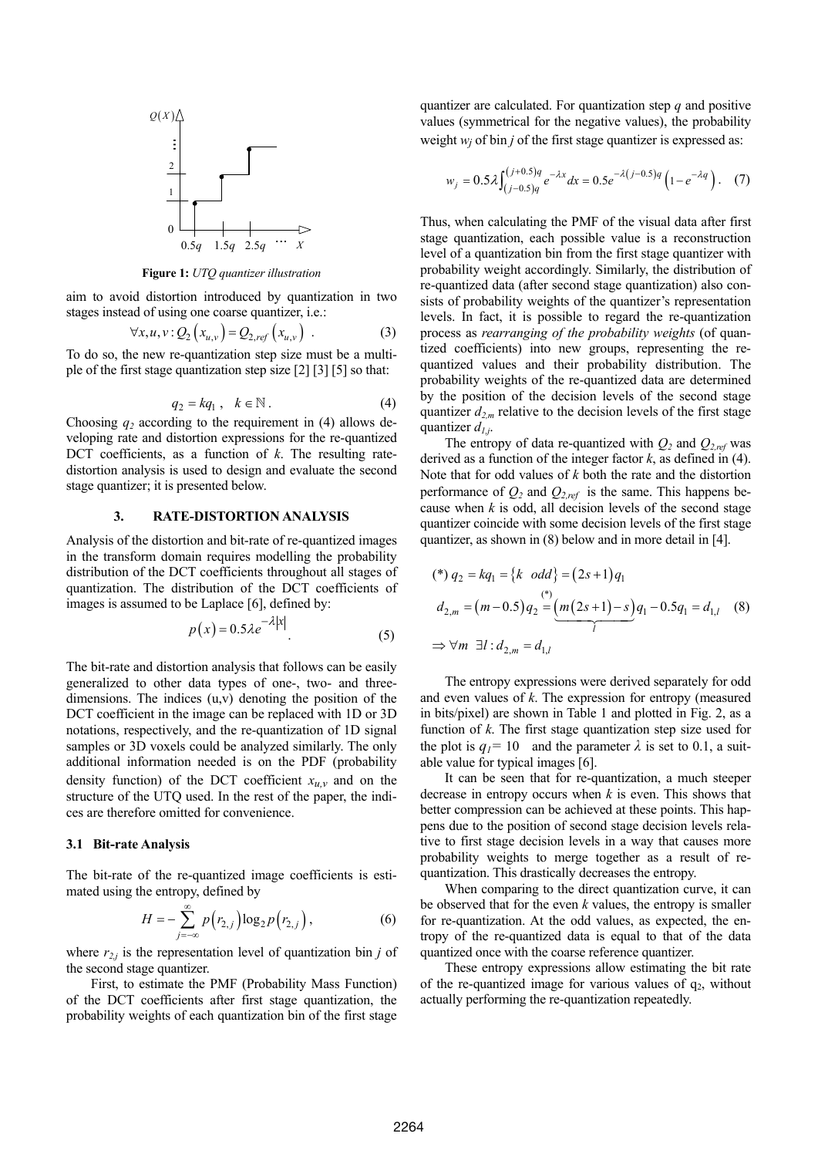

**Figure 1:** *UTQ quantizer illustration* 

aim to avoid distortion introduced by quantization in two stages instead of using one coarse quantizer, i.e.:

$$
\forall x, u, v: Q_2(x_{u,v}) = Q_{2,ref}(x_{u,v})
$$
 (3)

To do so, the new re-quantization step size must be a multiple of the first stage quantization step size [2] [3] [5] so that:

$$
q_2 = kq_1 , \quad k \in \mathbb{N} \,. \tag{4}
$$

Choosing  $q_2$  according to the requirement in (4) allows developing rate and distortion expressions for the re-quantized DCT coefficients, as a function of *k*. The resulting ratedistortion analysis is used to design and evaluate the second stage quantizer; it is presented below.

## **3. RATE-DISTORTION ANALYSIS**

Analysis of the distortion and bit-rate of re-quantized images in the transform domain requires modelling the probability distribution of the DCT coefficients throughout all stages of quantization. The distribution of the DCT coefficients of images is assumed to be Laplace [6], defined by:

$$
p(x) = 0.5\lambda e^{-\lambda|x|}.\tag{5}
$$

The bit-rate and distortion analysis that follows can be easily generalized to other data types of one-, two- and threedimensions. The indices (u,v) denoting the position of the DCT coefficient in the image can be replaced with 1D or 3D notations, respectively, and the re-quantization of 1D signal samples or 3D voxels could be analyzed similarly. The only additional information needed is on the PDF (probability density function) of the DCT coefficient  $x_{u,v}$  and on the structure of the UTQ used. In the rest of the paper, the indices are therefore omitted for convenience.

## **3.1 Bit-rate Analysis**

The bit-rate of the re-quantized image coefficients is estimated using the entropy, defined by

$$
H = -\sum_{j=-\infty}^{\infty} p(r_{2,j}) \log_2 p(r_{2,j}), \qquad (6)
$$

where  $r_{2j}$  is the representation level of quantization bin *j* of the second stage quantizer.

First, to estimate the PMF (Probability Mass Function) of the DCT coefficients after first stage quantization, the probability weights of each quantization bin of the first stage

quantizer are calculated. For quantization step *q* and positive values (symmetrical for the negative values), the probability weight  $w_i$  of bin *j* of the first stage quantizer is expressed as:

$$
w_j = 0.5\lambda \int_{(j-0.5)q}^{(j+0.5)q} e^{-\lambda x} dx = 0.5 e^{-\lambda (j-0.5)q} \left(1 - e^{-\lambda q}\right). \tag{7}
$$

Thus, when calculating the PMF of the visual data after first stage quantization, each possible value is a reconstruction level of a quantization bin from the first stage quantizer with probability weight accordingly. Similarly, the distribution of re-quantized data (after second stage quantization) also consists of probability weights of the quantizer's representation levels. In fact, it is possible to regard the re-quantization process as *rearranging of the probability weights* (of quantized coefficients) into new groups, representing the requantized values and their probability distribution. The probability weights of the re-quantized data are determined by the position of the decision levels of the second stage quantizer  $d_{2,m}$  relative to the decision levels of the first stage quantizer  $d_{1,i}$ .

The entropy of data re-quantized with  $Q_2$  and  $Q_{2,ref}$  was derived as a function of the integer factor *k*, as defined in (4). Note that for odd values of *k* both the rate and the distortion performance of  $Q_2$  and  $Q_{2,ref}$  is the same. This happens because when  $k$  is odd, all decision levels of the second stage quantizer coincide with some decision levels of the first stage quantizer, as shown in (8) below and in more detail in [4].

$$
(*) q_2 = kq_1 = {k \text{ odd}} = (2s+1)q_1
$$
  
\n
$$
d_{2,m} = (m-0.5)q_2 = (m(2s+1)-s)q_1 - 0.5q_1 = d_{1,l}
$$
 (8)  
\n⇒ ∀m ∃l :  $d_{2,m} = d_{1,l}$ 

The entropy expressions were derived separately for odd and even values of *k*. The expression for entropy (measured in bits/pixel) are shown in Table 1 and plotted in Fig. 2, as a function of *k*. The first stage quantization step size used for the plot is  $q_1 = 10$  and the parameter  $\lambda$  is set to 0.1, a suitable value for typical images [6].

It can be seen that for re-quantization, a much steeper decrease in entropy occurs when *k* is even. This shows that better compression can be achieved at these points. This happens due to the position of second stage decision levels relative to first stage decision levels in a way that causes more probability weights to merge together as a result of requantization. This drastically decreases the entropy.

When comparing to the direct quantization curve, it can be observed that for the even *k* values, the entropy is smaller for re-quantization. At the odd values, as expected, the entropy of the re-quantized data is equal to that of the data quantized once with the coarse reference quantizer.

These entropy expressions allow estimating the bit rate of the re-quantized image for various values of  $q_2$ , without actually performing the re-quantization repeatedly.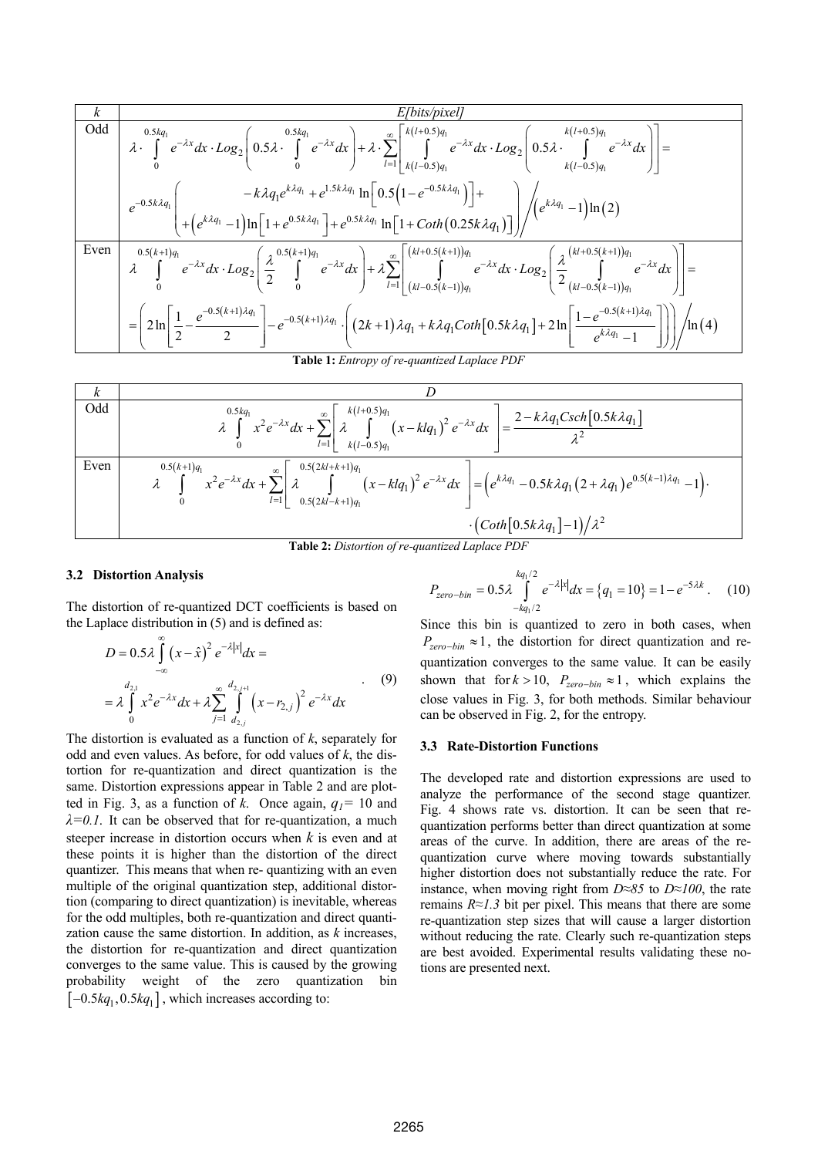$$
\frac{k}{\text{Total}} \left[ \begin{array}{c} 0.5kq_1 \\ \text{odd} \\ \text{odd} \\ 0 \end{array} \right] = \frac{0.5kq_1}{2} e^{-\lambda x} dx \cdot Log_2 \left[ 0.5\lambda \cdot \int_0^{0.5kq_1} e^{-\lambda x} dx \right] + \lambda \cdot \sum_{l=1}^{\infty} \left[ \int_0^{k(l+0.5)q_1} e^{-\lambda x} dx \cdot Log_2 \left( 0.5\lambda \cdot \int_0^{k(l+0.5)q_1} e^{-\lambda x} dx \right) \right] = \\ e^{-0.5k\lambda q_1} \left( -k\lambda q_1 e^{k\lambda q_1} + e^{1.5k\lambda q_1} \ln \left[ 0.5\left( 1 - e^{-0.5k\lambda q_1} \right) \right] + \\ e^{-0.5k\lambda q_1} \left( + \left( e^{k\lambda q_1} - 1 \right) \ln \left[ 1 + e^{0.5k\lambda q_1} \right] + e^{0.5k\lambda q_1} \ln \left[ 1 + \text{Coth}\left( 0.25k\lambda q_1 \right) \right] \right) \right/ \left( e^{k\lambda q_1} - 1 \right) \ln (2) \\ \text{Even} \left[ \begin{array}{c} 0.5(k+1)q_1 \\ \lambda \end{array} \right] e^{-\lambda x} dx \cdot Log_2 \left[ \frac{\lambda}{2} \int_0^{0.5(k+1)q_1} e^{-\lambda x} dx \right] + \lambda \sum_{l=1}^{\infty} \left[ \left( \int_0^{k(l+0.5(k+1))q_1} e^{-\lambda x} dx \cdot Log_2 \left( \frac{\lambda}{2} \left( \int_0^{k(l+0.5(k+1))q_1} e^{-\lambda x} dx \right) \right) \right] = \\ = \left[ 2\ln \left[ \frac{1}{2} - \frac{e^{-0.5(k+1)\lambda q_1}}{2} \right] - e^{-0.5(k+1)\lambda q_1} \cdot \left( (2k+1)\lambda q_1 + k\lambda q_1 \text{Coth}\left[ 0.5k\lambda q_1 \right] + 2\ln \left[ \frac{1 - e^{-0.5(k+1)\lambda q_1}}{e^{k\lambda q_1} - 1} \right] \right) \right) / \ln (4)
$$

**Table 1:** *Entropy of re-quantized Laplace PDI* 

$$
\frac{k}{\text{Odd}}
$$
\n
$$
\frac{0.5kq_1}{\lambda} x^2 e^{-\lambda x} dx + \sum_{l=1}^{\infty} \left[ \lambda \int_{k(l-0.5)q_1}^{k(l+0.5)q_1} (x - klq_1)^2 e^{-\lambda x} dx \right] = \frac{2 - k\lambda q_1 \text{Csch}[0.5k\lambda q_1]}{\lambda^2}
$$
\nEven\n
$$
\frac{0.5(k+1)q_1}{\lambda} x^2 e^{-\lambda x} dx + \sum_{l=1}^{\infty} \left[ \lambda \int_{0.5(2kl-k+1)q_1}^{0.5(2kl+k+1)q_1} (x - klq_1)^2 e^{-\lambda x} dx \right] = \left( e^{k\lambda q_1} - 0.5k\lambda q_1 (2 + \lambda q_1) e^{0.5(k-1)\lambda q_1} - 1 \right).
$$
\n
$$
\cdot \left( \text{Coth}[0.5k\lambda q_1] - 1 \right) / \lambda^2
$$

**Table 2:** *Distortion of re-quantized Laplace PDF*

### **3.2 Distortion Analysis**

The distortion of re-quantized DCT coefficients is based on the Laplace distribution in (5) and is defined as:

$$
D = 0.5 \lambda \int_{-\infty}^{\infty} (x - \hat{x})^2 e^{-\lambda |x|} dx =
$$
  
=  $\lambda \int_{0}^{d_{2,1}} x^2 e^{-\lambda x} dx + \lambda \sum_{j=1}^{\infty} \int_{d_{2,j}}^{d_{2,j+1}} (x - r_{2,j})^2 e^{-\lambda x} dx$  (9)

The distortion is evaluated as a function of  $k$ , separately for odd and even values. As before, for odd values of *k*, the distortion for re-quantization and direct quantization is the same. Distortion expressions appear in Table 2 and are plotted in Fig. 3, as a function of *k*. Once again,  $q_1 = 10$  and  $\lambda = 0.1$ . It can be observed that for re-quantization, a much steeper increase in distortion occurs when *k* is even and at these points it is higher than the distortion of the direct quantizer. This means that when re- quantizing with an even multiple of the original quantization step, additional distortion (comparing to direct quantization) is inevitable, whereas for the odd multiples, both re-quantization and direct quantization cause the same distortion. In addition, as *k* increases, the distortion for re-quantization and direct quantization converges to the same value. This is caused by the growing probability weight of the zero quantization bin  $[-0.5 \text{kg}_1, 0.5 \text{kg}_1]$ , which increases according to:

$$
P_{zero-bin} = 0.5\lambda \int_{-kq_1/2}^{kq_1/2} e^{-\lambda |x|} dx = \{q_1 = 10\} = 1 - e^{-5\lambda k} \ . \tag{10}
$$

Since this bin is quantized to zero in both cases, when  $P_{zero-bin} \approx 1$ , the distortion for direct quantization and requantization converges to the same value*.* It can be easily shown that for  $k > 10$ ,  $P_{zero-bin} \approx 1$ , which explains the close values in Fig. 3, for both methods. Similar behaviour can be observed in Fig. 2, for the entropy.

#### **3.3 Rate-Distortion Functions**

The developed rate and distortion expressions are used to analyze the performance of the second stage quantizer. Fig. 4 shows rate vs. distortion. It can be seen that requantization performs better than direct quantization at some areas of the curve. In addition, there are areas of the requantization curve where moving towards substantially higher distortion does not substantially reduce the rate. For instance, when moving right from *D≈85* to *D≈100*, the rate remains *R≈1.3* bit per pixel. This means that there are some re-quantization step sizes that will cause a larger distortion without reducing the rate. Clearly such re-quantization steps are best avoided. Experimental results validating these notions are presented next.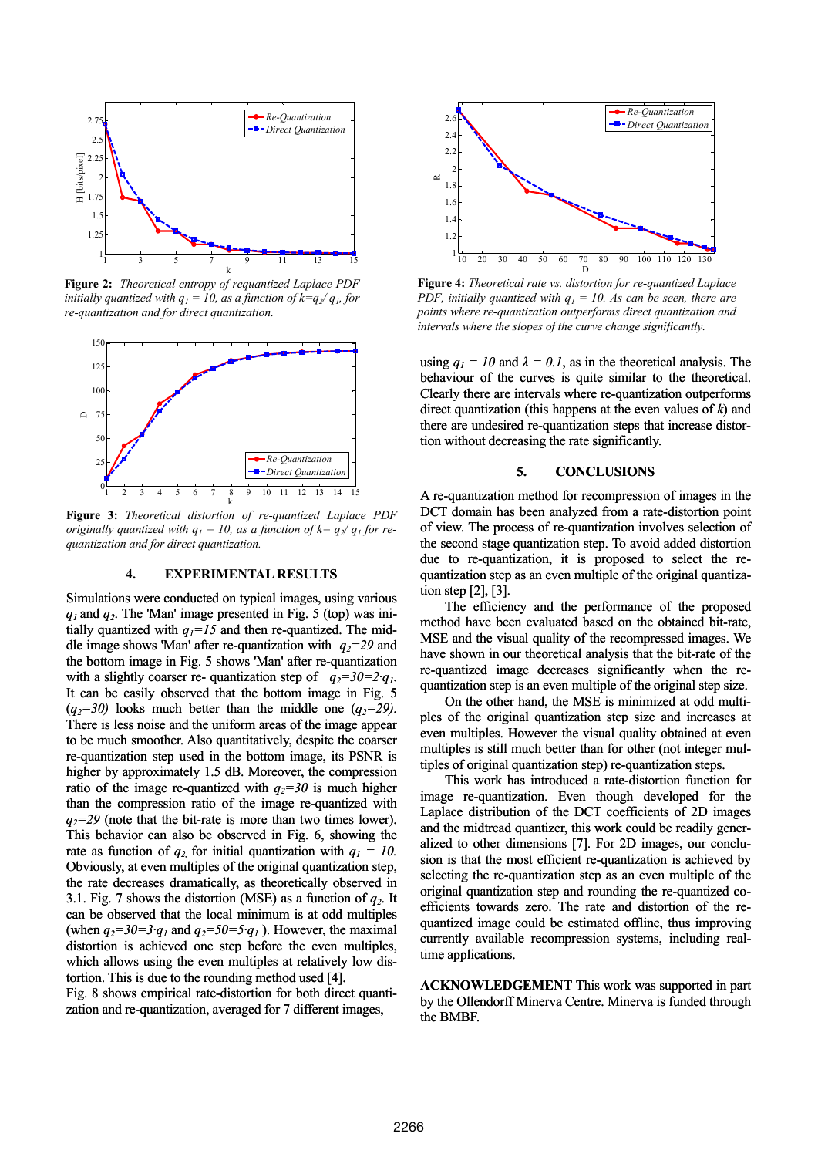

**Figure 2:** *Theoretical entropy of requantized Laplace PDF initially quantized with*  $q_1 = 10$ , as a function of  $k=q_2/q_1$ , for *re-quantization and for direct quantization.* 



*originally quantized with*  $q_1 = 10$ , as a function of  $k = q_2/q_1$  for re*quantization and for direct quantization.* 

#### **4. EXPERIMENTAL RESULTS**

Simulations were conducted on typical images, using various *q1* and *q2*. The 'Man' image presented in Fig. 5 (top) was initially quantized with  $q_1 = 15$  and then re-quantized. The middle image shows 'Man' after re-quantization with  $q_2=29$  and the bottom image in Fig. 5 shows 'Man' after re-quantization with a slightly coarser re- quantization step of  $q_2=30=2q_1$ . It can be easily observed that the bottom image in Fig. 5  $(q_2=30)$  looks much better than the middle one  $(q_2=29)$ . There is less noise and the uniform areas of the image appear to be much smoother. Also quantitatively, despite the coarser re-quantization step used in the bottom image, its PSNR is higher by approximately 1.5 dB. Moreover, the compression ratio of the image re-quantized with  $q_2=30$  is much higher than the compression ratio of the image re-quantized with  $q_2=29$  (note that the bit-rate is more than two times lower). This behavior can also be observed in Fig. 6, showing the rate as function of  $q_2$  for initial quantization with  $q_1 = 10$ . Obviously, at even multiples of the original quantization step, the rate decreases dramatically, as theoretically observed in 3.1. Fig. 7 shows the distortion (MSE) as a function of  $q_2$ . It can be observed that the local minimum is at odd multiples (when  $q_2=30=3q_1$  and  $q_2=50=5q_1$ ). However, the maximal distortion is achieved one step before the even multiples, which allows using the even multiples at relatively low distortion. This is due to the rounding method used [4]. Fig. 8 shows empirical rate-distortion for both direct quanti-

zation and re-quantization, averaged for 7 different images,



**Figure 4:** *Theoretical rate vs. distortion for re-quantized Laplace PDF, initially quantized with*  $q_1 = 10$ *. As can be seen, there are points where re-quantization outperforms direct quantization and intervals where the slopes of the curve change significantly.*

using  $q_1 = 10$  and  $\lambda = 0.1$ , as in the theoretical analysis. The behaviour of the curves is quite similar to the theoretical. Clearly there are intervals where re-quantization outperforms direct quantization (this happens at the even values of *k*) and there are undesired re-quantization steps that increase distortion without decreasing the rate significantly.

## **5. CONCLUSIONS**

A re-quantization method for recompression of images in the DCT domain has been analyzed from a rate-distortion point of view. The process of re-quantization involves selection of the second stage quantization step. To avoid added distortion due to re-quantization, it is proposed to select the requantization step as an even multiple of the original quantization step [2], [3].

The efficiency and the performance of the proposed method have been evaluated based on the obtained bit-rate, MSE and the visual quality of the recompressed images. We have shown in our theoretical analysis that the bit-rate of the re-quantized image decreases significantly when the requantization step is an even multiple of the original step size.

On the other hand, the MSE is minimized at odd multiples of the original quantization step size and increases at even multiples. However the visual quality obtained at even multiples is still much better than for other (not integer multiples of original quantization step) re-quantization steps.

This work has introduced a rate-distortion function for image re-quantization. Even though developed for the Laplace distribution of the DCT coefficients of 2D images and the midtread quantizer, this work could be readily generalized to other dimensions [7]. For 2D images, our conclusion is that the most efficient re-quantization is achieved by selecting the re-quantization step as an even multiple of the original quantization step and rounding the re-quantized coefficients towards zero. The rate and distortion of the requantized image could be estimated offline, thus improving currently available recompression systems, including realtime applications.

**ACKNOWLEDGEMENT** This work was supported in part by the Ollendorff Minerva Centre. Minerva is funded through the BMBF.